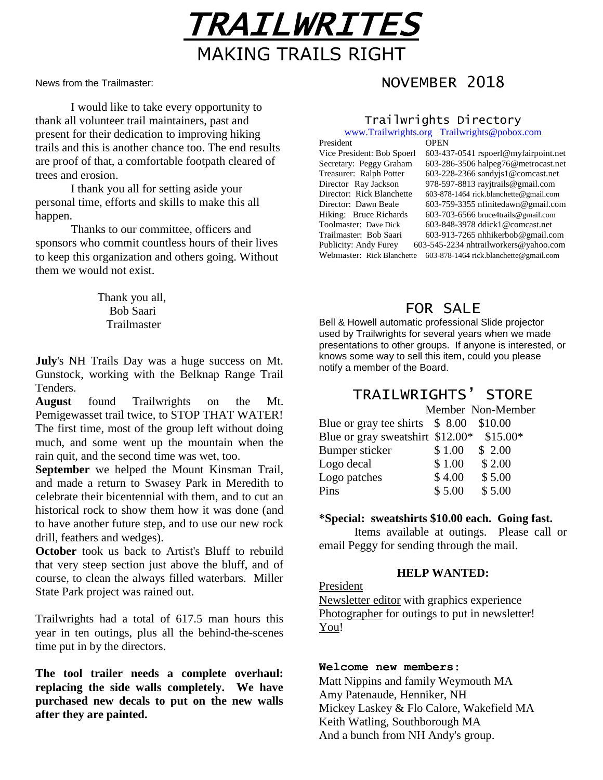

News from the Trailmaster:

I would like to take every opportunity to thank all volunteer trail maintainers, past and present for their dedication to improving hiking trails and this is another chance too. The end results are proof of that, a comfortable footpath cleared of trees and erosion.

I thank you all for setting aside your personal time, efforts and skills to make this all happen.

Thanks to our committee, officers and sponsors who commit countless hours of their lives to keep this organization and others going. Without them we would not exist.

> Thank you all, Bob Saari **Trailmaster**

**July**'s NH Trails Day was a huge success on Mt. Gunstock, working with the Belknap Range Trail Tenders.

**August** found Trailwrights on the Mt. Pemigewasset trail twice, to STOP THAT WATER! The first time, most of the group left without doing much, and some went up the mountain when the rain quit, and the second time was wet, too.

**September** we helped the Mount Kinsman Trail, and made a return to Swasey Park in Meredith to celebrate their bicentennial with them, and to cut an historical rock to show them how it was done (and to have another future step, and to use our new rock drill, feathers and wedges).

**October** took us back to Artist's Bluff to rebuild that very steep section just above the bluff, and of course, to clean the always filled waterbars. Miller State Park project was rained out.

Trailwrights had a total of 617.5 man hours this year in ten outings, plus all the behind-the-scenes time put in by the directors.

**The tool trailer needs a complete overhaul: replacing the side walls completely. We have purchased new decals to put on the new walls after they are painted.**

# NOVEMBER 2018

## Trailwrights Directory

[www.Trailwrights.org](http://www.trailwrights.org/) [Trailwrights@pobox.com](mailto:Trailwrights@pobox.com)

| President                  | <b>OPEN</b>                             |  |
|----------------------------|-----------------------------------------|--|
| Vice President: Bob Spoerl | 603-437-0541 rspoerl@myfairpoint.net    |  |
| Secretary: Peggy Graham    | 603-286-3506 halpeg76@metrocast.net     |  |
| Treasurer: Ralph Potter    | $603-228-2366$ sandyjs $1@$ comcast.net |  |
| Director Ray Jackson       | 978-597-8813 ray itrails@gmail.com      |  |
| Director: Rick Blanchette  | 603-878-1464 rick.blanchette@gmail.com  |  |
| Director: Dawn Beale       | $603-759-3355$ nfinitedawn@gmail.com    |  |
| Hiking: Bruce Richards     | $603-703-6566$ bruce4trails@gmail.com   |  |
| Toolmaster: Dave Dick      | 603-848-3978 ddick1@comcast.net         |  |
| Trailmaster: Bob Saari     | $603-913-7265$ nhhikerbob@gmail.com     |  |
| Publicity: Andy Furey      | 603-545-2234 nhtrailworkers@yahoo.com   |  |
| Webmaster: Rick Blanchette | 603-878-1464 rick.blanchette@gmail.com  |  |

### FOR SALE

Bell & Howell automatic professional Slide projector used by Trailwrights for several years when we made presentations to other groups. If anyone is interested, or knows some way to sell this item, could you please notify a member of the Board.

## TRAILWRIGHTS' STORE

|                                        |        | Member Non-Member |
|----------------------------------------|--------|-------------------|
| Blue or gray tee shirts \$8.00 \$10.00 |        |                   |
| Blue or gray sweatshirt \$12.00*       |        | $$15.00*$         |
| Bumper sticker                         | \$1.00 | \$2.00            |
| Logo decal                             | \$1.00 | \$2.00            |
| Logo patches                           | \$4.00 | \$5.00            |
| Pins                                   | \$5.00 | \$5.00            |

### **\*Special: sweatshirts \$10.00 each. Going fast.**

Items available at outings. Please call or email Peggy for sending through the mail.

#### **HELP WANTED:**

President

Newsletter editor with graphics experience Photographer for outings to put in newsletter! You!

### **Welcome new members:**

Matt Nippins and family Weymouth MA Amy Patenaude, Henniker, NH Mickey Laskey & Flo Calore, Wakefield MA Keith Watling, Southborough MA And a bunch from NH Andy's group.